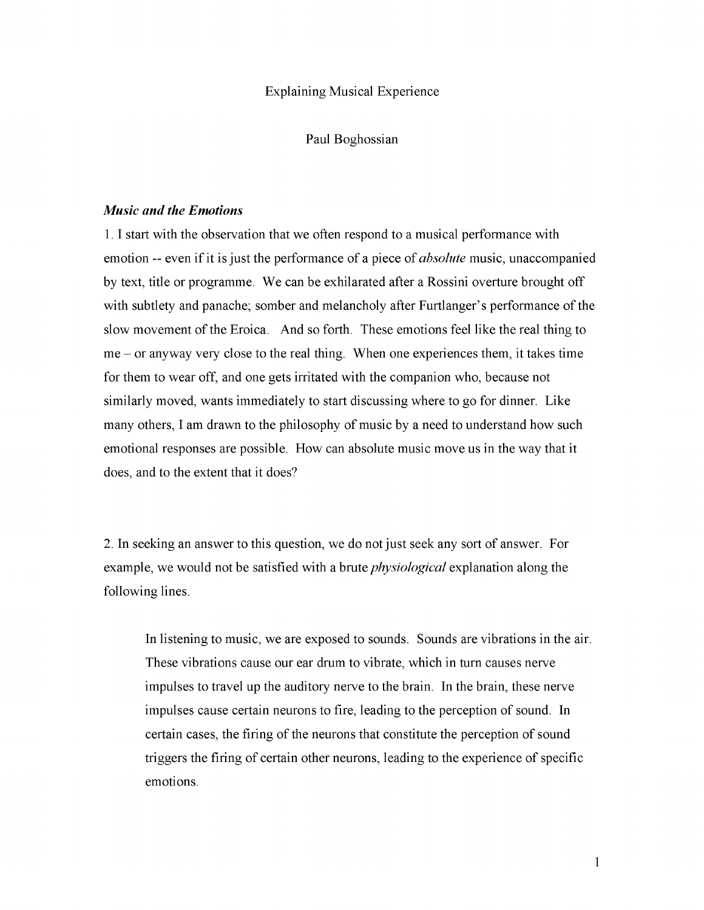Paul Boghossian

## *Music and the Emotions*

1. I start with the observation that we often respond to a musical performance with emotion -- even if it is just the performance of a piece of *absolute* music, unaccompanied by text, title or programme. We can be exhilarated after a Rossini overture brought off with subtlety and panache; somber and melancholy after Furtlanger's performance of the slow movement of the Eroica. And so forth. These emotions feel like the real thing to me - or anyway very close to the real thing. When one experiences them, it takes time for them to wear off, and one gets irritated with the companion who, because not similarly moved, wants immediately to start discussing where to go for dinner. Like many others, I am drawn to the philosophy of music by a need to understand how such emotional responses are possible. How can absolute music move us in the way that it does, and to the extent that it does?

2. In seeking an answer to this question, we do not just seek any sort of answer. For example, we would not be satisfied with a brute *physiological* explanation along the following lines.

In listening to music, we are exposed to sounds. Sounds are vibrations in the air. These vibrations cause our ear drum to vibrate, which in turn causes nerve impulses to travel up the auditory nerve to the brain. In the brain, these nerve impulses cause certain neurons to fire, leading to the perception of sound. In certain cases, the firing of the neurons that constitute the perception of sound triggers the firing of certain other neurons, leading to the experience of specific emotions.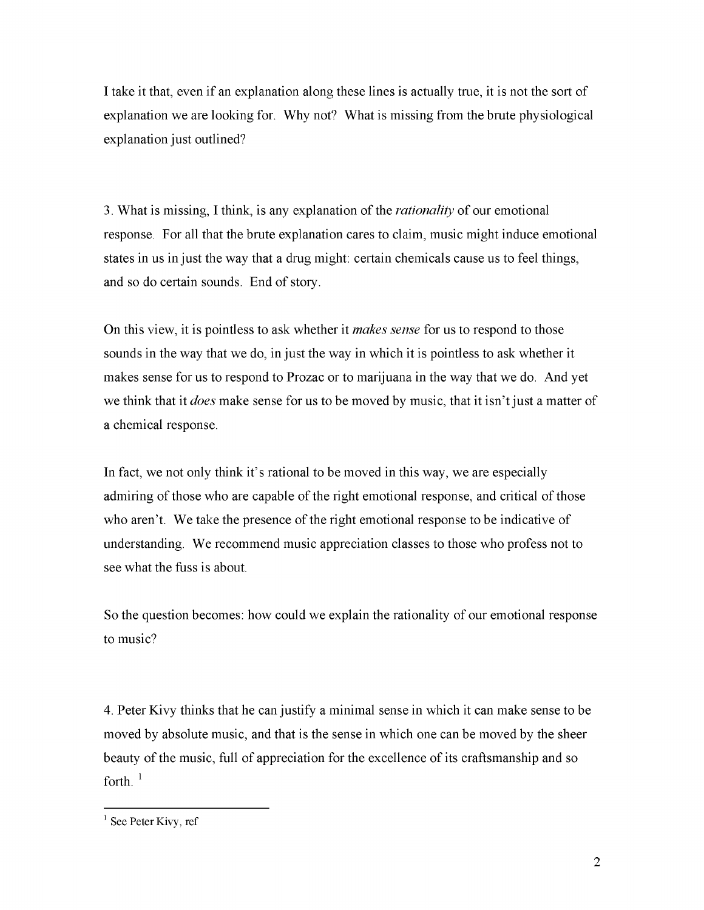I take it that, even if an explanation along these lines is actually true, it is not the sort of explanation we are looking for. Why not? What is missing from the brute physiological explanation just outlined?

3. What is missing, I think, is any explanation of the *rationality* of our emotional response. For all that the brute explanation cares to claim, music might induce emotional states in us in just the way that a drug might: certain chemicals cause us to feel things, and so do certain sounds. End of story.

On this view, it is pointless to ask whether it *makes sense* for us to respond to those sounds in the way that we do, in just the way in which it is pointless to ask whether it makes sense for us to respond to Prozac or to marijuana in the way that we do. And yet we think that it *does* make sense for us to be moved by music, that it isn't just a matter of a chemical response.

In fact, we not only think it's rational to be moved in this way, we are especially admiring of those who are capable of the right emotional response, and critical of those who aren't. We take the presence of the right emotional response to be indicative of understanding. We recommend music appreciation classes to those who profess not to see what the fuss is about.

So the question becomes: how could we explain the rationality of our emotional response to music?

4. Peter Kivy thinks that he can justify a minimal sense in which it can make sense to be moved by absolute music, and that is the sense in which one can be moved by the sheer beauty of the music, full of appreciation for the excellence of its craftsmanship and so forth.  $1$ 

 $<sup>1</sup>$  See Peter Kivy, ref</sup>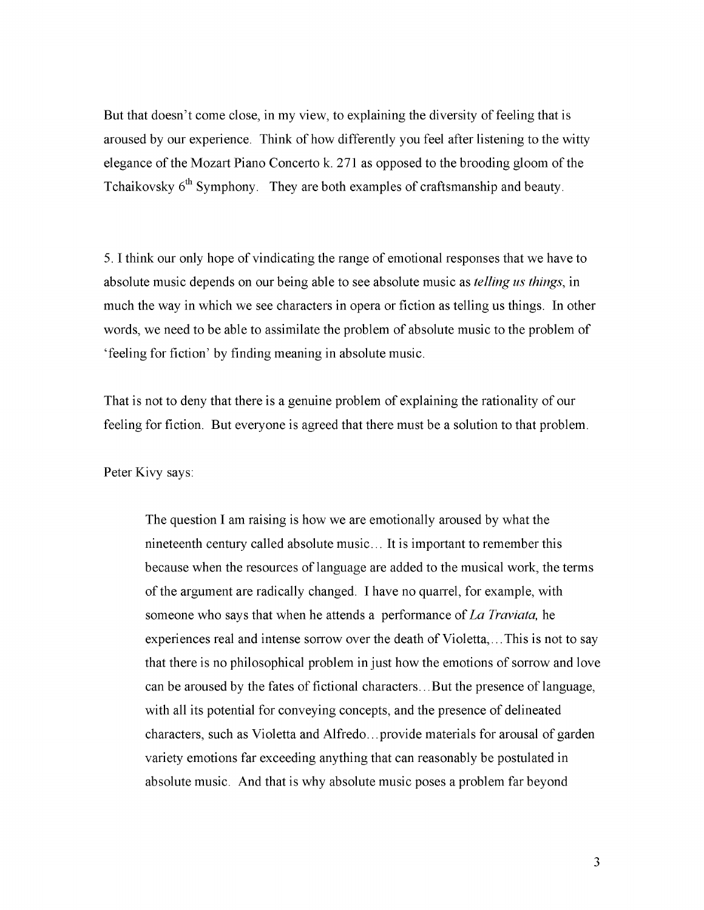But that doesn't come close, in my view, to explaining the diversity of feeling that is aroused by our experience. Think of how differently you feel after listening to the witty elegance of the Mozart Piano Concerto k. 271 as opposed to the brooding gloom of the Tchaikovsky  $6<sup>th</sup>$  Symphony. They are both examples of craftsmanship and beauty.

5. I think our only hope of vindicating the range of emotional responses that we have to absolute music depends on our being able to see absolute music as *telling us things*, in much the way in which we see characters in opera or fiction as telling us things. In other words, we need to be able to assimilate the problem of absolute music to the problem of 'feeling for fiction' by finding meaning in absolute music.

That is not to deny that there is a genuine problem of explaining the rationality of our feeling for fiction. But everyone is agreed that there must be a solution to that problem.

Peter Kivy says:

The question I am raising is how we are emotionally aroused by what the nineteenth century called absolute music... It is important to remember this because when the resources of language are added to the musical work, the terms of the argument are radically changed. I have no quarrel, for example, with someone who says that when he attends a performance of *La Traviata,* he experiences real and intense sorrow over the death of Violetta,...This is not to say that there is no philosophical problem in just how the emotions of sorrow and love can be aroused by the fates of fictional characters... But the presence of language, with all its potential for conveying concepts, and the presence of delineated characters, such as Violetta and Alfredo... provide materials for arousal of garden variety emotions far exceeding anything that can reasonably be postulated in absolute music. And that is why absolute music poses a problem far beyond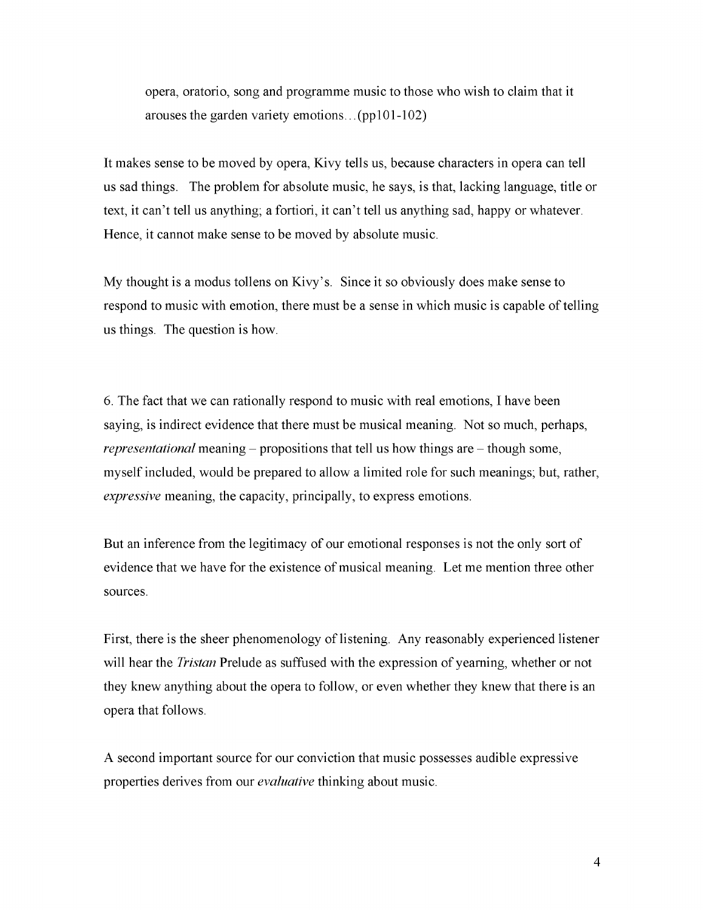opera, oratorio, song and programme music to those who wish to claim that it arouses the garden variety emotions.. .(pp101-102)

It makes sense to be moved by opera, Kivy tells us, because characters in opera can tell us sad things. The problem for absolute music, he says, is that, lacking language, title or text, it can't tell us anything; a fortiori, it can't tell us anything sad, happy or whatever. Hence, it cannot make sense to be moved by absolute music.

My thought is a modus tollens on Kivy's. Since it so obviously does make sense to respond to music with emotion, there must be a sense in which music is capable of telling us things. The question is how.

6. The fact that we can rationally respond to music with real emotions, I have been saying, is indirect evidence that there must be musical meaning. Not so much, perhaps, *representational* meaning – propositions that tell us how things are – though some, myself included, would be prepared to allow a limited role for such meanings; but, rather, *expressive* meaning, the capacity, principally, to express emotions.

But an inference from the legitimacy of our emotional responses is not the only sort of evidence that we have for the existence of musical meaning. Let me mention three other sources.

First, there is the sheer phenomenology of listening. Any reasonably experienced listener will hear the *Tristan* Prelude as suffused with the expression of yearning, whether or not they knew anything about the opera to follow, or even whether they knew that there is an opera that follows.

A second important source for our conviction that music possesses audible expressive properties derives from our *evaluative* thinking about music.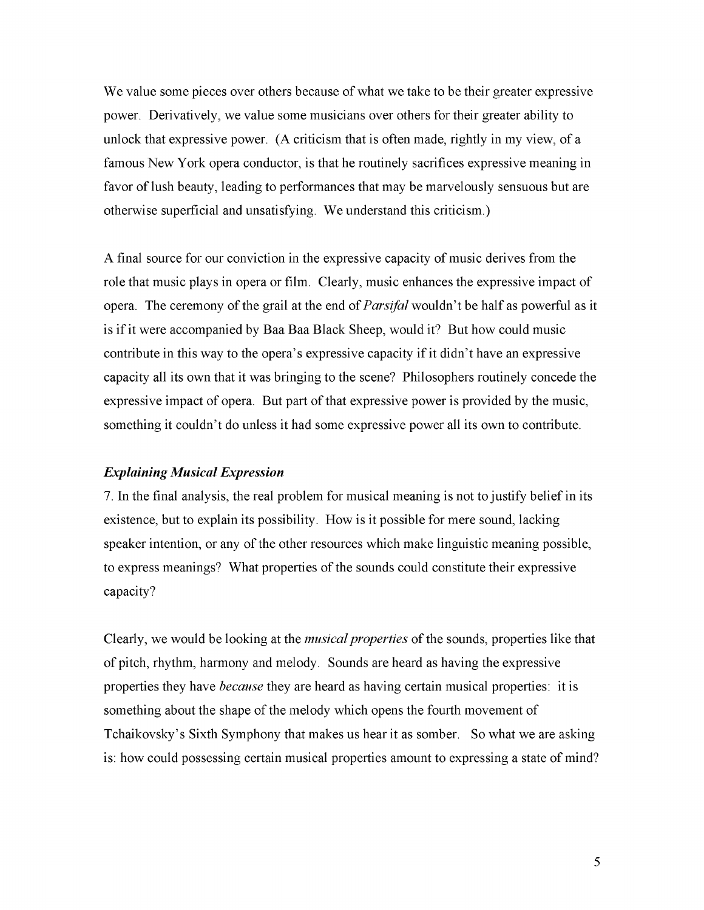We value some pieces over others because of what we take to be their greater expressive power. Derivatively, we value some musicians over others for their greater ability to unlock that expressive power. (A criticism that is often made, rightly in my view, of a famous New York opera conductor, is that he routinely sacrifices expressive meaning in favor of lush beauty, leading to performances that may be marvelously sensuous but are otherwise superficial and unsatisfying. We understand this criticism.)

A final source for our conviction in the expressive capacity of music derives from the role that music plays in opera or film. Clearly, music enhances the expressive impact of opera. The ceremony of the grail at the end of *Parsifal* wouldn't be half as powerful as it is if it were accompanied by Baa Baa Black Sheep, would it? But how could music contribute in this way to the opera's expressive capacity if it didn't have an expressive capacity all its own that it was bringing to the scene? Philosophers routinely concede the expressive impact of opera. But part of that expressive power is provided by the music, something it couldn't do unless it had some expressive power all its own to contribute.

## *Explaining Musical Expression*

7. In the final analysis, the real problem for musical meaning is not to justify belief in its existence, but to explain its possibility. How is it possible for mere sound, lacking speaker intention, or any of the other resources which make linguistic meaning possible, to express meanings? What properties of the sounds could constitute their expressive capacity?

Clearly, we would be looking at the *musical properties* of the sounds, properties like that of pitch, rhythm, harmony and melody. Sounds are heard as having the expressive properties they have *because* they are heard as having certain musical properties: it is something about the shape of the melody which opens the fourth movement of Tchaikovsky's Sixth Symphony that makes us hear it as somber. So what we are asking is: how could possessing certain musical properties amount to expressing a state of mind?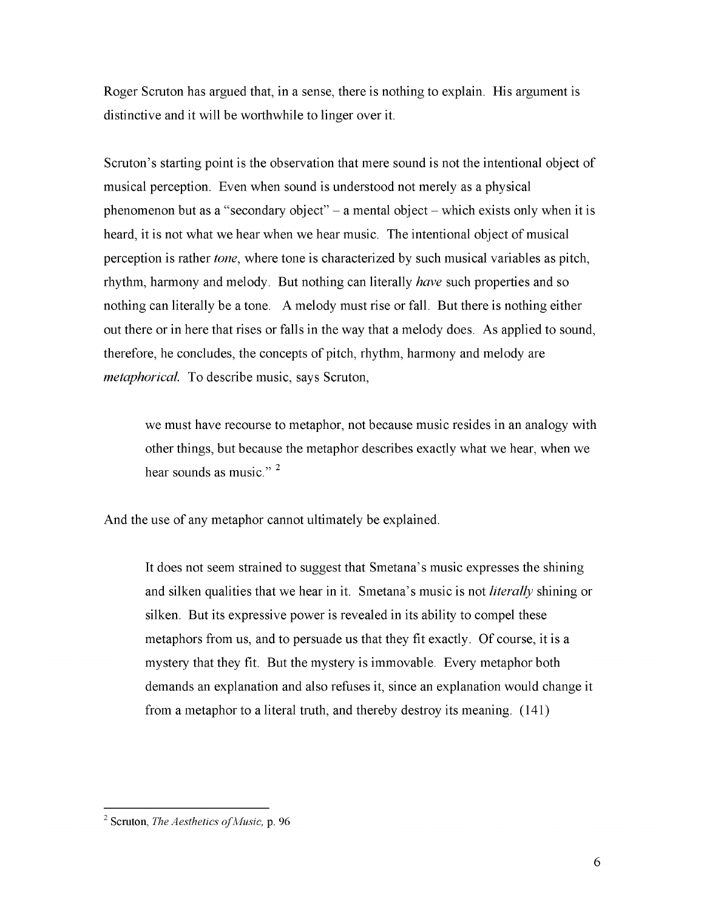Roger Scruton has argued that, in a sense, there is nothing to explain. His argument is distinctive and it will be worthwhile to linger over it.

Scruton's starting point is the observation that mere sound is not the intentional object of musical perception. Even when sound is understood not merely as a physical phenomenon but as a "secondary object" – a mental object – which exists only when it is heard, it is not what we hear when we hear music. The intentional object of musical perception is rather *tone*, where tone is characterized by such musical variables as pitch, rhythm, harmony and melody. But nothing can literally *have* such properties and so nothing can literally be a tone. A melody must rise or fall. But there is nothing either out there or in here that rises or falls in the way that a melody does. As applied to sound, therefore, he concludes, the concepts of pitch, rhythm, harmony and melody are *metaphorical.* To describe music, says Scruton,

we must have recourse to metaphor, not because music resides in an analogy with other things, but because the metaphor describes exactly what we hear, when we hear sounds as music."  $2^2$ 

And the use of any metaphor cannot ultimately be explained.

It does not seem strained to suggest that Smetana's music expresses the shining and silken qualities that we hear in it. Smetana's music is not *literally* shining or silken. But its expressive power is revealed in its ability to compel these metaphors from us, and to persuade us that they fit exactly. Of course, it is a mystery that they fit. But the mystery is immovable. Every metaphor both demands an explanation and also refuses it, since an explanation would change it from a metaphor to a literal truth, and thereby destroy its meaning. (141)

<sup>2</sup>Scruton, *The Aesthetics of Music,* p. 96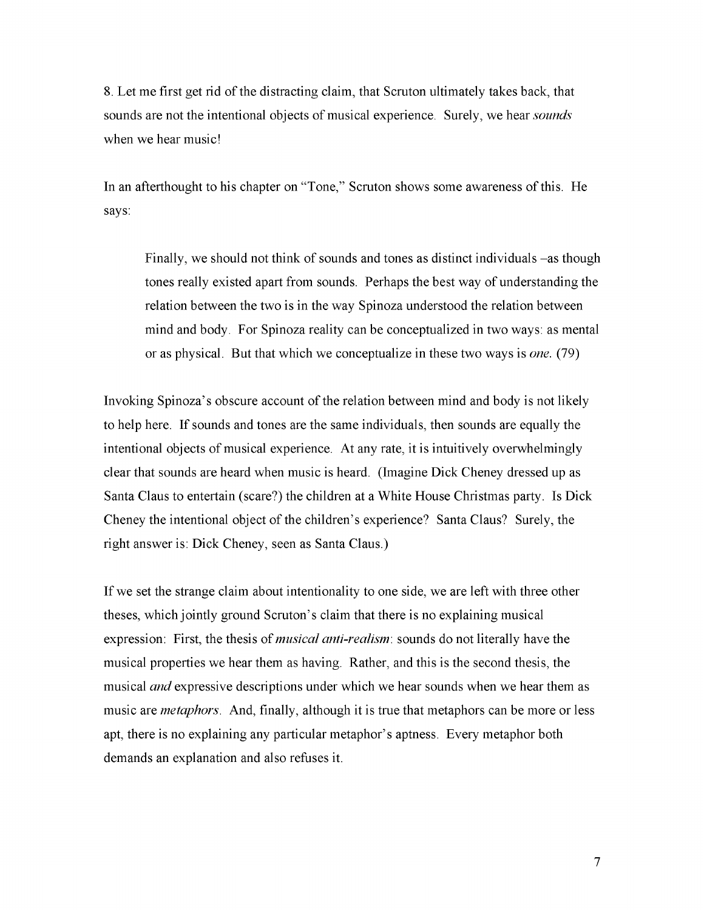8. Let me first get rid of the distracting claim, that Scruton ultimately takes back, that sounds are not the intentional objects of musical experience. Surely, we hear *sounds* when we hear music!

In an afterthought to his chapter on "Tone," Scruton shows some awareness of this. He says:

Finally, we should not think of sounds and tones as distinct individuals  $-$ as though tones really existed apart from sounds. Perhaps the best way of understanding the relation between the two is in the way Spinoza understood the relation between mind and body. For Spinoza reality can be conceptualized in two ways: as mental or as physical. But that which we conceptualize in these two ways is *one.* (79)

Invoking Spinoza's obscure account of the relation between mind and body is not likely to help here. Ifsounds and tones are the same individuals, then sounds are equally the intentional objects of musical experience. At any rate, it is intuitively overwhelmingly clear that sounds are heard when music is heard. (Imagine Dick Cheney dressed up as Santa Claus to entertain (scare?) the children at a White House Christmas party. Is Dick Cheney the intentional object of the children's experience? Santa Claus? Surely, the right answer is: Dick Cheney, seen as Santa Claus.)

If we set the strange claim about intentionality to one side, we are left with three other theses, which jointly ground Scruton's claim that there is no explaining musical expression: First, the thesis of*musical anti-realism*: sounds do not literally have the musical properties we hear them as having. Rather, and this is the second thesis, the musical *and* expressive descriptions under which we hear sounds when we hear them as music are *metaphors*. And, finally, although it is true that metaphors can be more or less apt, there is no explaining any particular metaphor's aptness. Every metaphor both demands an explanation and also refuses it.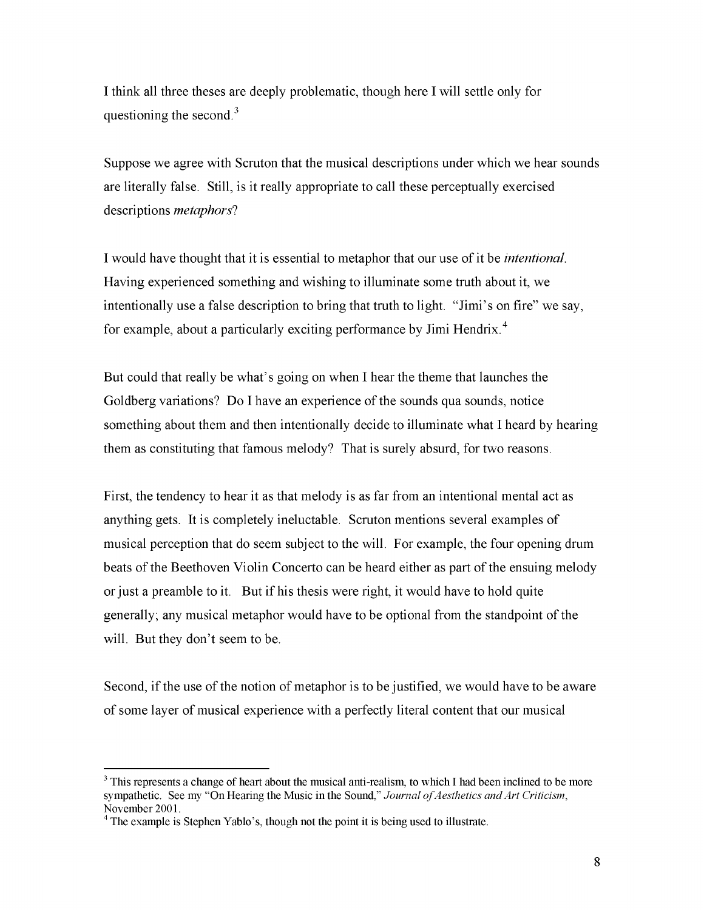I think all three theses are deeply problematic, though here I will settle only for questioning the second. $3$ 

Suppose we agree with Scruton that the musical descriptions under which we hear sounds are literally false. Still, is it really appropriate to call these perceptually exercised descriptions *metaphors*?

I would have thought that it is essential to metaphor that our use of it be *intentional*. Having experienced something and wishing to illuminate some truth about it, we intentionally use a false description to bring that truth to light. "Jimi's on fire" we say, for example, about a particularly exciting performance by Jimi Hendrix.<sup>4</sup>

But could that really be what's going on when I hear the theme that launches the Goldberg variations? Do I have an experience of the sounds qua sounds, notice something about them and then intentionally decide to illuminate what I heard by hearing them as constituting that famous melody? That is surely absurd, for two reasons.

First, the tendency to hear it as that melody is as far from an intentional mental act as anything gets. It is completely ineluctable. Scruton mentions several examples of musical perception that do seem subject to the will. For example, the four opening drum beats of the Beethoven Violin Concerto can be heard either as part of the ensuing melody or just a preamble to it. But if his thesis were right, it would have to hold quite generally; any musical metaphor would have to be optional from the standpoint of the will. But they don't seem to be.

Second, if the use of the notion of metaphor is to be justified, we would have to be aware of some layer of musical experience with a perfectly literal content that our musical

<sup>&</sup>lt;sup>3</sup> This represents a change of heart about the musical anti-realism, to which I had been inclined to be more sympathetic. See my "On Hearing the Music in the Sound," *Journal of Aesthetics and Art Criticism*, November 2001.

 $4$  The example is Stephen Yablo's, though not the point it is being used to illustrate.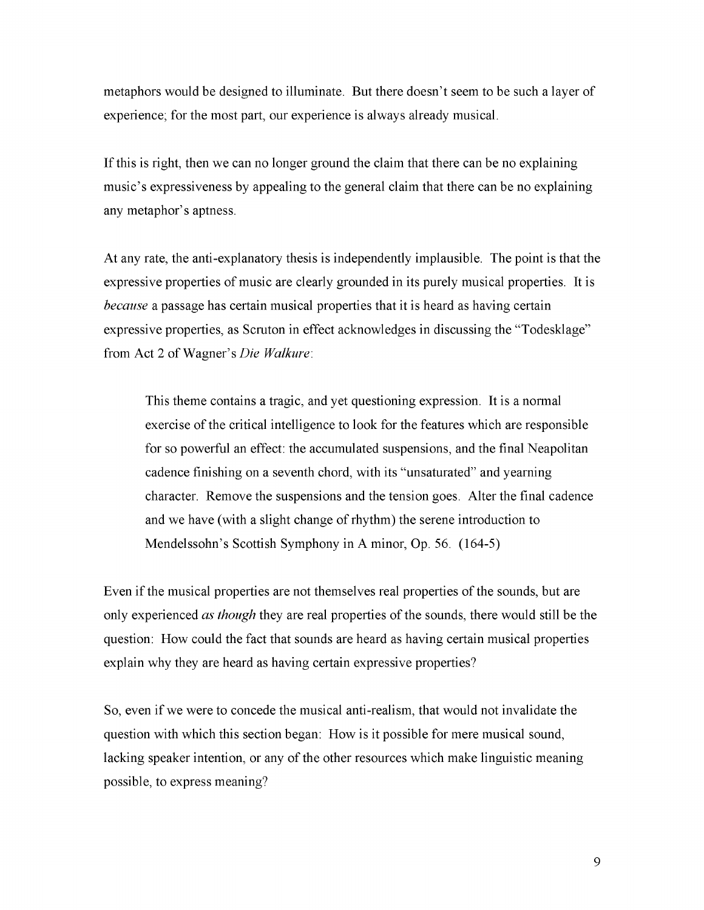metaphors would be designed to illuminate. But there doesn't seem to be such a layer of experience; for the most part, our experience is always already musical.

If this is right, then we can no longer ground the claim that there can be no explaining music's expressiveness by appealing to the general claim that there can be no explaining any metaphor's aptness.

At any rate, the anti-explanatory thesis is independently implausible. The point is that the expressive properties of music are clearly grounded in its purely musical properties. It is *because* a passage has certain musical properties that it is heard as having certain expressive properties, as Scruton in effect acknowledges in discussing the "Todesklage" from Act 2 of Wagner's *Die Walkure*:

This theme contains a tragic, and yet questioning expression. It is a normal exercise of the critical intelligence to look for the features which are responsible for so powerful an effect: the accumulated suspensions, and the final Neapolitan cadence finishing on a seventh chord, with its "unsaturated" and yearning character. Remove the suspensions and the tension goes. Alter the final cadence and we have (with a slight change of rhythm) the serene introduction to Mendelssohn's Scottish Symphony in A minor, Op. 56. (164-5)

Even if the musical properties are not themselves real properties of the sounds, but are only experienced *as though* they are real properties of the sounds, there would still be the question: How could the fact that sounds are heard as having certain musical properties explain why they are heard as having certain expressive properties?

So, even if we were to concede the musical anti-realism, that would not invalidate the question with which this section began: How is it possible for mere musical sound, lacking speaker intention, or any of the other resources which make linguistic meaning possible, to express meaning?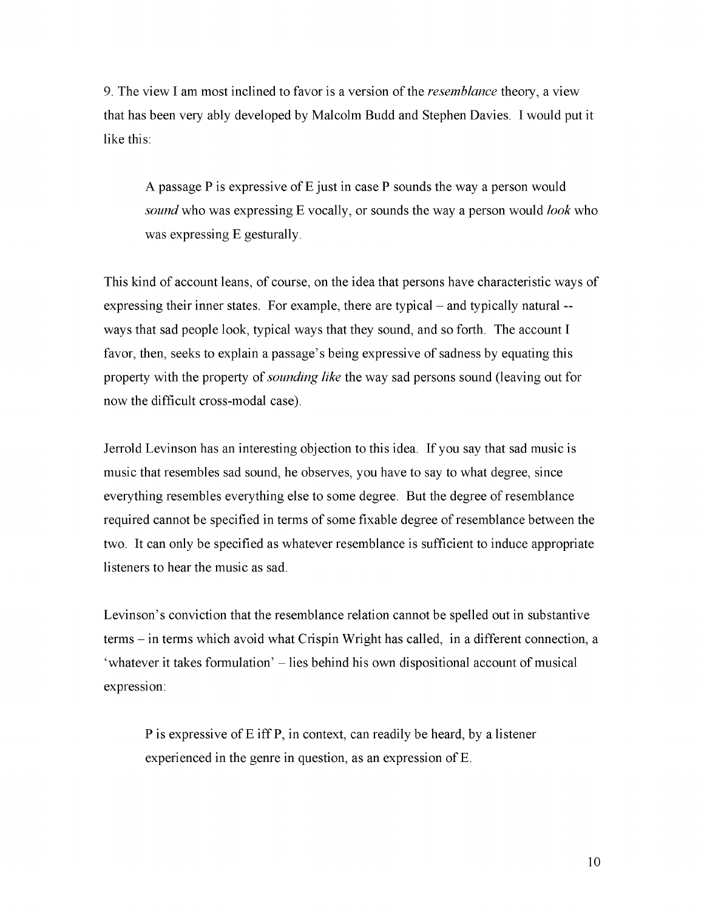9. The view I am most inclined to favor is a version of the *resemblance* theory, a view that has been very ably developed by Malcolm Budd and Stephen Davies. I would put it like this:

A passage P is expressive of E just in case P sounds the way a person would *sound* who was expressing E vocally, or sounds the way a person would *look* who was expressing E gesturally.

This kind of account leans, of course, on the idea that persons have characteristic ways of expressing their inner states. For example, there are typical – and typically natural -ways that sad people look, typical ways that they sound, and so forth. The account I favor, then, seeks to explain a passage's being expressive of sadness by equating this property with the property of *sounding like* the way sad persons sound (leaving out for now the difficult cross-modal case).

Jerrold Levinson has an interesting objection to this idea. If you say that sad music is music that resembles sad sound, he observes, you have to say to what degree, since everything resembles everything else to some degree. But the degree of resemblance required cannot be specified in terms of some fixable degree of resemblance between the two. It can only be specified as whatever resemblance is sufficient to induce appropriate listeners to hear the music as sad.

Levinson's conviction that the resemblance relation cannot be spelled out in substantive terms - in terms which avoid what Crispin Wright has called, in a different connection, a 'whatever it takes formulation' – lies behind his own dispositional account of musical expression:

P is expressive of E iff P, in context, can readily be heard, by a listener experienced in the genre in question, as an expression of E.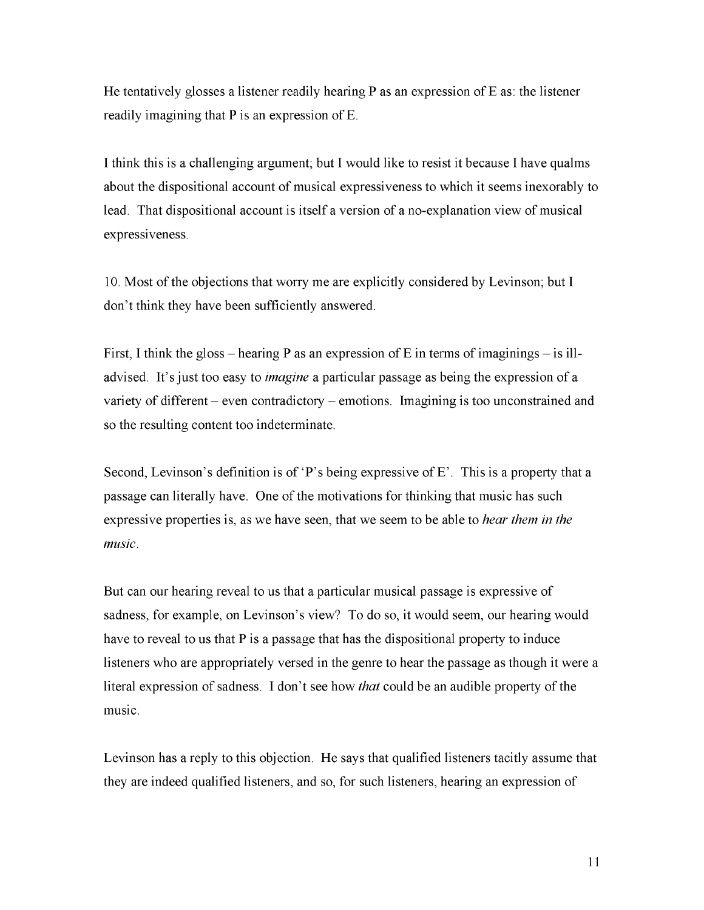He tentatively glosses a listener readily hearing  $P$  as an expression of  $E$  as: the listener readily imagining that P is an expression of E.

I think this is a challenging argument; but I would like to resist it because I have qualms about the dispositional account of musical expressiveness to which it seems inexorably to lead. That dispositional account is itself a version of a no-explanation view of musical expressiveness.

10. Most of the objections that worry me are explicitly considered by Levinson; but I don't think they have been sufficiently answered.

First, I think the gloss – hearing P as an expression of E in terms of imaginings – is illadvised. It's just too easy to *imagine* a particular passage as being the expression of a variety of different – even contradictory – emotions. Imagining is too unconstrained and so the resulting content too indeterminate.

Second, Levinson's definition is of 'P's being expressive of E'. This is a property that a passage can literally have. One of the motivations for thinking that music has such expressive properties is, as we have seen, that we seem to be able to *hear them in the music*.

But can our hearing reveal to us that a particular musical passage is expressive of sadness, for example, on Levinson's view? To do so, it would seem, our hearing would have to reveal to us that P is a passage that has the dispositional property to induce listeners who are appropriately versed in the genre to hear the passage as though it were a literal expression of sadness. I don't see how *that* could be an audible property of the music.

Levinson has a reply to this objection. He says that qualified listeners tacitly assume that they are indeed qualified listeners, and so, for such listeners, hearing an expression of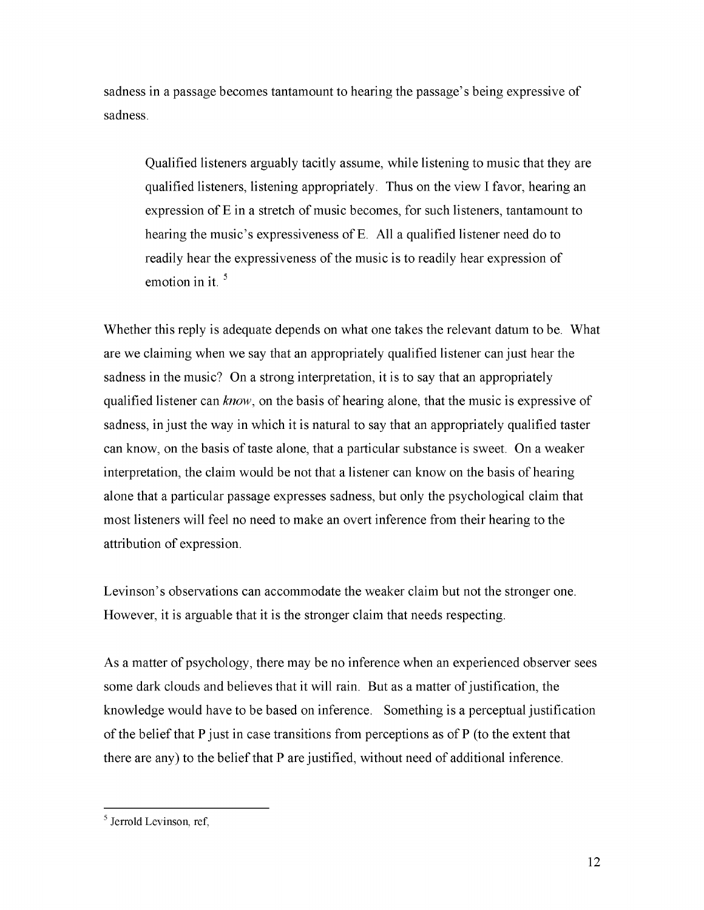sadness in a passage becomes tantamount to hearing the passage's being expressive of sadness.

Qualified listeners arguably tacitly assume, while listening to music that they are qualified listeners, listening appropriately. Thus on the view I favor, hearing an expression of E in a stretch of music becomes, for such listeners, tantamount to hearing the music's expressiveness of E. All a qualified listener need do to readily hear the expressiveness of the music is to readily hear expression of emotion in it.  $5$ 

Whether this reply is adequate depends on what one takes the relevant datum to be. What are we claiming when we say that an appropriately qualified listener can just hear the sadness in the music? On a strong interpretation, it is to say that an appropriately qualified listener can *know*, on the basis of hearing alone, that the music is expressive of sadness, in just the way in which it is natural to say that an appropriately qualified taster can know, on the basis of taste alone, that a particular substance is sweet. On a weaker interpretation, the claim would be not that a listener can know on the basis of hearing alone that a particular passage expresses sadness, but only the psychological claim that most listeners will feel no need to make an overt inference from their hearing to the attribution of expression.

Levinson's observations can accommodate the weaker claim but not the stronger one. However, it is arguable that it is the stronger claim that needs respecting.

As a matter of psychology, there may be no inference when an experienced observer sees some dark clouds and believes that it will rain. But as a matter of justification, the knowledge would have to be based on inference. Something is a perceptual justification of the belief that P just in case transitions from perceptions as of P (to the extent that there are any) to the belief that P are justified, without need of additional inference.

 $<sup>5</sup>$  Jerrold Levinson, ref.</sup>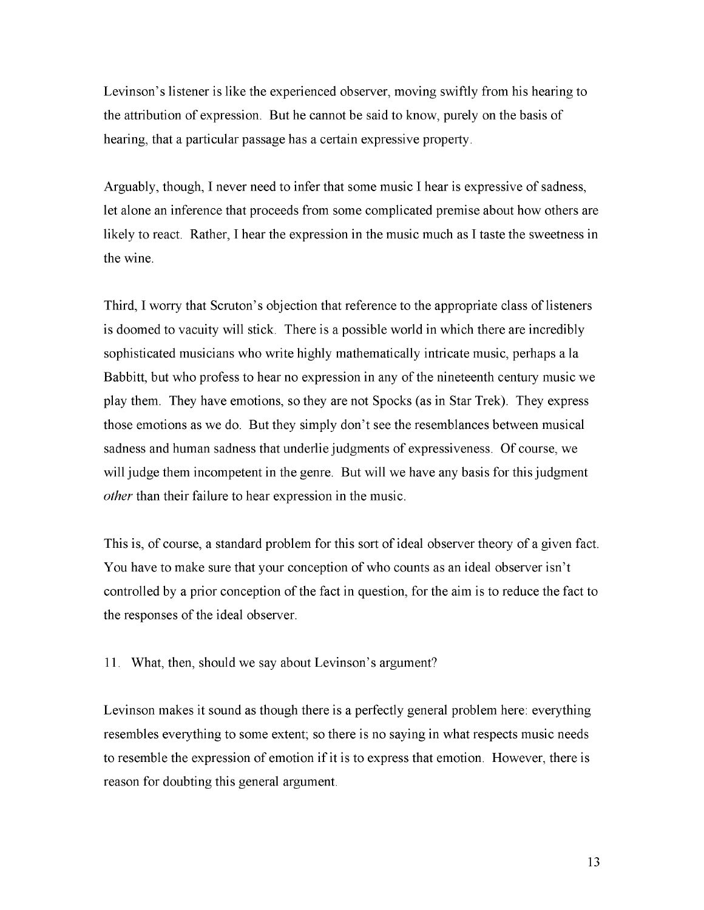Levinson's listener is like the experienced observer, moving swiftly from his hearing to the attribution of expression. But he cannot be said to know, purely on the basis of hearing, that a particular passage has a certain expressive property.

Arguably, though, I never need to infer that some music I hear is expressive of sadness, let alone an inference that proceeds from some complicated premise about how others are likely to react. Rather, I hear the expression in the music much as I taste the sweetness in the wine.

Third, I worry that Scruton's objection that reference to the appropriate class of listeners is doomed to vacuity will stick. There is a possible world in which there are incredibly sophisticated musicians who write highly mathematically intricate music, perhaps a la Babbitt, but who profess to hear no expression in any of the nineteenth century music we play them. They have emotions, so they are not Spocks (as in Star Trek). They express those emotions as we do. But they simply don't see the resemblances between musical sadness and human sadness that underlie judgments of expressiveness. Of course, we will judge them incompetent in the genre. But will we have any basis for this judgment *other* than their failure to hear expression in the music.

This is, of course, a standard problem for this sort of ideal observer theory of a given fact. You have to make sure that your conception of who counts as an ideal observer isn't controlled by a prior conception of the fact in question, for the aim is to reduce the fact to the responses of the ideal observer.

11. What, then, should we say about Levinson's argument?

Levinson makes it sound as though there is a perfectly general problem here: everything resembles everything to some extent; so there is no saying in what respects music needs to resemble the expression of emotion if it is to express that emotion. However, there is reason for doubting this general argument.